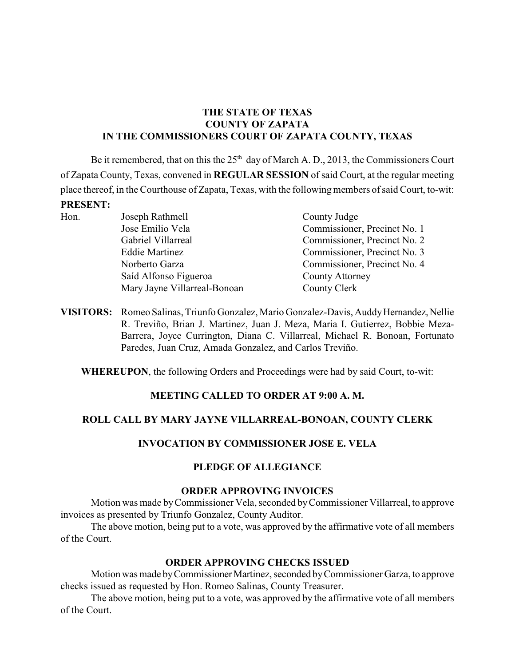# **THE STATE OF TEXAS COUNTY OF ZAPATA IN THE COMMISSIONERS COURT OF ZAPATA COUNTY, TEXAS**

Be it remembered, that on this the  $25<sup>th</sup>$  day of March A. D., 2013, the Commissioners Court of Zapata County, Texas, convened in **REGULAR SESSION** of said Court, at the regular meeting place thereof, in the Courthouse of Zapata, Texas, with the following members of said Court, to-wit: **PRESENT:**

| Hon. | Joseph Rathmell              | County Judge                 |  |
|------|------------------------------|------------------------------|--|
|      | Jose Emilio Vela             | Commissioner, Precinct No. 1 |  |
|      | Gabriel Villarreal           | Commissioner, Precinct No. 2 |  |
|      | <b>Eddie Martinez</b>        | Commissioner, Precinct No. 3 |  |
|      | Norberto Garza               | Commissioner, Precinct No. 4 |  |
|      | Saíd Alfonso Figueroa        | <b>County Attorney</b>       |  |
|      | Mary Jayne Villarreal-Bonoan | County Clerk                 |  |

**VISITORS:** Romeo Salinas, Triunfo Gonzalez, Mario Gonzalez-Davis, Auddy Hernandez, Nellie R. Treviño, Brian J. Martinez, Juan J. Meza, Maria I. Gutierrez, Bobbie Meza-Barrera, Joyce Currington, Diana C. Villarreal, Michael R. Bonoan, Fortunato Paredes, Juan Cruz, Amada Gonzalez, and Carlos Treviño.

**WHEREUPON**, the following Orders and Proceedings were had by said Court, to-wit:

# **MEETING CALLED TO ORDER AT 9:00 A. M.**

# **ROLL CALL BY MARY JAYNE VILLARREAL-BONOAN, COUNTY CLERK**

# **INVOCATION BY COMMISSIONER JOSE E. VELA**

# **PLEDGE OF ALLEGIANCE**

#### **ORDER APPROVING INVOICES**

Motion was made by Commissioner Vela, seconded byCommissioner Villarreal, to approve invoices as presented by Triunfo Gonzalez, County Auditor.

The above motion, being put to a vote, was approved by the affirmative vote of all members of the Court.

# **ORDER APPROVING CHECKS ISSUED**

Motion was made by Commissioner Martinez, seconded by Commissioner Garza, to approve checks issued as requested by Hon. Romeo Salinas, County Treasurer.

The above motion, being put to a vote, was approved by the affirmative vote of all members of the Court.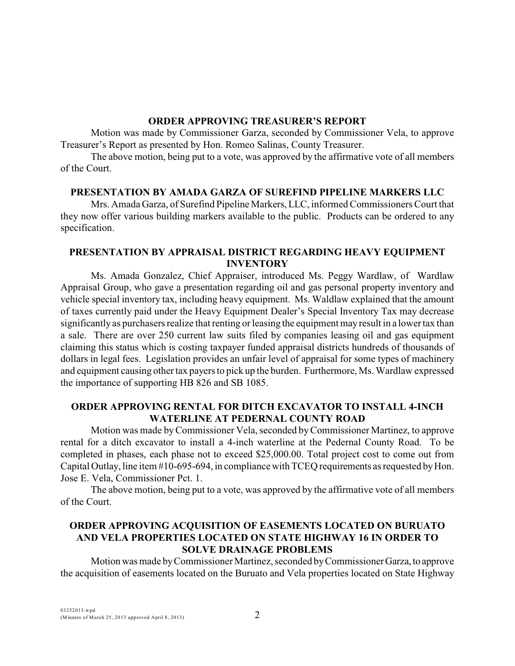#### **ORDER APPROVING TREASURER'S REPORT**

Motion was made by Commissioner Garza, seconded by Commissioner Vela, to approve Treasurer's Report as presented by Hon. Romeo Salinas, County Treasurer.

The above motion, being put to a vote, was approved by the affirmative vote of all members of the Court.

#### **PRESENTATION BY AMADA GARZA OF SUREFIND PIPELINE MARKERS LLC**

Mrs. Amada Garza, of Surefind Pipeline Markers, LLC, informed Commissioners Court that they now offer various building markers available to the public. Products can be ordered to any specification.

## **PRESENTATION BY APPRAISAL DISTRICT REGARDING HEAVY EQUIPMENT INVENTORY**

Ms. Amada Gonzalez, Chief Appraiser, introduced Ms. Peggy Wardlaw, of Wardlaw Appraisal Group, who gave a presentation regarding oil and gas personal property inventory and vehicle special inventory tax, including heavy equipment. Ms. Waldlaw explained that the amount of taxes currently paid under the Heavy Equipment Dealer's Special Inventory Tax may decrease significantly as purchasers realize that renting or leasing the equipment may result in a lower tax than a sale. There are over 250 current law suits filed by companies leasing oil and gas equipment claiming this status which is costing taxpayer funded appraisal districts hundreds of thousands of dollars in legal fees. Legislation provides an unfair level of appraisal for some types of machinery and equipment causing other tax payers to pick up the burden. Furthermore, Ms. Wardlaw expressed the importance of supporting HB 826 and SB 1085.

# **ORDER APPROVING RENTAL FOR DITCH EXCAVATOR TO INSTALL 4-INCH WATERLINE AT PEDERNAL COUNTY ROAD**

Motion was made byCommissioner Vela, seconded byCommissioner Martinez, to approve rental for a ditch excavator to install a 4-inch waterline at the Pedernal County Road. To be completed in phases, each phase not to exceed \$25,000.00. Total project cost to come out from Capital Outlay, line item #10-695-694, in compliance with TCEQ requirements as requested by Hon. Jose E. Vela, Commissioner Pct. 1.

The above motion, being put to a vote, was approved by the affirmative vote of all members of the Court.

# **ORDER APPROVING ACQUISITION OF EASEMENTS LOCATED ON BURUATO AND VELA PROPERTIES LOCATED ON STATE HIGHWAY 16 IN ORDER TO SOLVE DRAINAGE PROBLEMS**

Motion was made by Commissioner Martinez, seconded by Commissioner Garza, to approve the acquisition of easements located on the Buruato and Vela properties located on State Highway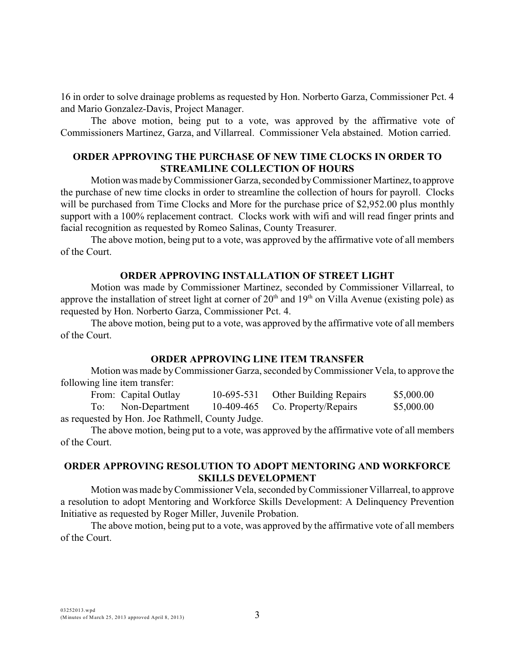16 in order to solve drainage problems as requested by Hon. Norberto Garza, Commissioner Pct. 4 and Mario Gonzalez-Davis, Project Manager.

The above motion, being put to a vote, was approved by the affirmative vote of Commissioners Martinez, Garza, and Villarreal. Commissioner Vela abstained. Motion carried.

### **ORDER APPROVING THE PURCHASE OF NEW TIME CLOCKS IN ORDER TO STREAMLINE COLLECTION OF HOURS**

Motion was made by Commissioner Garza, seconded by Commissioner Martinez, to approve the purchase of new time clocks in order to streamline the collection of hours for payroll. Clocks will be purchased from Time Clocks and More for the purchase price of \$2,952.00 plus monthly support with a 100% replacement contract. Clocks work with wifi and will read finger prints and facial recognition as requested by Romeo Salinas, County Treasurer.

The above motion, being put to a vote, was approved by the affirmative vote of all members of the Court.

#### **ORDER APPROVING INSTALLATION OF STREET LIGHT**

Motion was made by Commissioner Martinez, seconded by Commissioner Villarreal, to approve the installation of street light at corner of  $20<sup>th</sup>$  and  $19<sup>th</sup>$  on Villa Avenue (existing pole) as requested by Hon. Norberto Garza, Commissioner Pct. 4.

The above motion, being put to a vote, was approved by the affirmative vote of all members of the Court.

## **ORDER APPROVING LINE ITEM TRANSFER**

Motion was made by Commissioner Garza, seconded by Commissioner Vela, to approve the following line item transfer:

| From: Capital Outlay                             |  | 10-695-531 Other Building Repairs | \$5,000.00 |
|--------------------------------------------------|--|-----------------------------------|------------|
| To: Non-Department                               |  | 10-409-465 Co. Property/Repairs   | \$5,000.00 |
| as requested by Hon. Joe Rathmell, County Judge. |  |                                   |            |

The above motion, being put to a vote, was approved by the affirmative vote of all members of the Court.

## **ORDER APPROVING RESOLUTION TO ADOPT MENTORING AND WORKFORCE SKILLS DEVELOPMENT**

Motion was made by Commissioner Vela, seconded byCommissioner Villarreal, to approve a resolution to adopt Mentoring and Workforce Skills Development: A Delinquency Prevention Initiative as requested by Roger Miller, Juvenile Probation.

The above motion, being put to a vote, was approved by the affirmative vote of all members of the Court.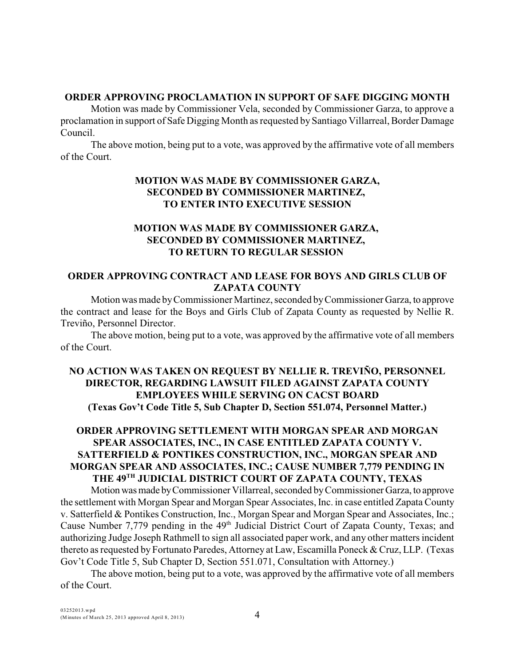### **ORDER APPROVING PROCLAMATION IN SUPPORT OF SAFE DIGGING MONTH**

Motion was made by Commissioner Vela, seconded by Commissioner Garza, to approve a proclamation in support of Safe Digging Month asrequested by Santiago Villarreal, Border Damage Council.

The above motion, being put to a vote, was approved by the affirmative vote of all members of the Court.

# **MOTION WAS MADE BY COMMISSIONER GARZA, SECONDED BY COMMISSIONER MARTINEZ, TO ENTER INTO EXECUTIVE SESSION**

# **MOTION WAS MADE BY COMMISSIONER GARZA, SECONDED BY COMMISSIONER MARTINEZ, TO RETURN TO REGULAR SESSION**

# **ORDER APPROVING CONTRACT AND LEASE FOR BOYS AND GIRLS CLUB OF ZAPATA COUNTY**

Motion was made by Commissioner Martinez, seconded by Commissioner Garza, to approve the contract and lease for the Boys and Girls Club of Zapata County as requested by Nellie R. Treviño, Personnel Director.

The above motion, being put to a vote, was approved by the affirmative vote of all members of the Court.

# **NO ACTION WAS TAKEN ON REQUEST BY NELLIE R. TREVIÑO, PERSONNEL DIRECTOR, REGARDING LAWSUIT FILED AGAINST ZAPATA COUNTY EMPLOYEES WHILE SERVING ON CACST BOARD (Texas Gov't Code Title 5, Sub Chapter D, Section 551.074, Personnel Matter.)**

# **ORDER APPROVING SETTLEMENT WITH MORGAN SPEAR AND MORGAN SPEAR ASSOCIATES, INC., IN CASE ENTITLED ZAPATA COUNTY V. SATTERFIELD & PONTIKES CONSTRUCTION, INC., MORGAN SPEAR AND MORGAN SPEAR AND ASSOCIATES, INC.; CAUSE NUMBER 7,779 PENDING IN** THE 49<sup>TH</sup> JUDICIAL DISTRICT COURT OF ZAPATA COUNTY, TEXAS

Motion was made by Commissioner Villarreal, seconded by Commissioner Garza, to approve the settlement with Morgan Spear and Morgan Spear Associates, Inc. in case entitled Zapata County v. Satterfield & Pontikes Construction, Inc., Morgan Spear and Morgan Spear and Associates, Inc.; Cause Number 7,779 pending in the  $49<sup>th</sup>$  Judicial District Court of Zapata County, Texas; and authorizing Judge Joseph Rathmell to sign all associated paper work, and any other matters incident thereto as requested by Fortunato Paredes, Attorney at Law, Escamilla Poneck & Cruz, LLP. (Texas Gov't Code Title 5, Sub Chapter D, Section 551.071, Consultation with Attorney.)

The above motion, being put to a vote, was approved by the affirmative vote of all members of the Court.